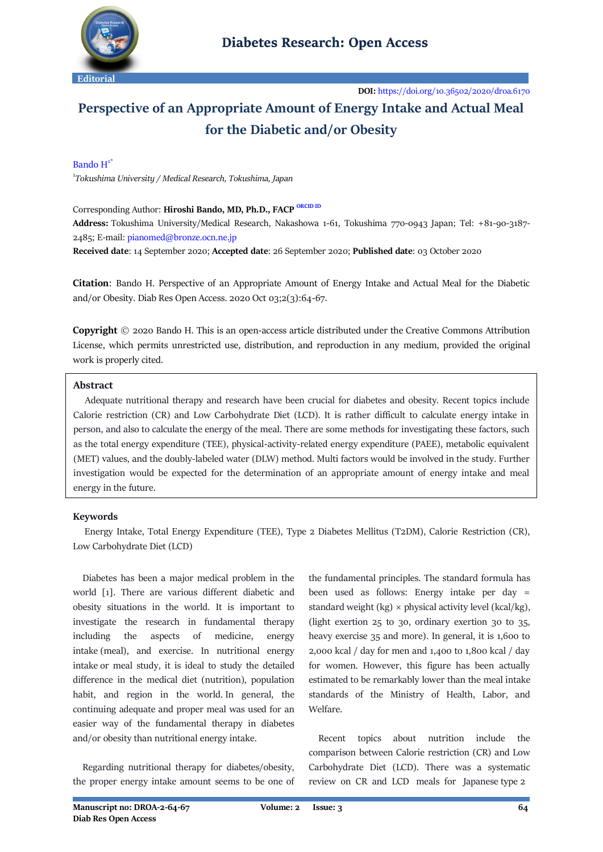

# **Perspective of an Appropriate Amount of Energy Intake and Actual Meal for the Diabetic and/or Obesity**

### Bando  $H^1$ <sup>\*</sup>

1 *[Tokushima University](http://www.tokushima-u.ac.jp/) / Medical Research, Tokushima, Japan*

# Corresponding Author: **Hiroshi Bando, MD, Ph.D., FACP** [ORCID ID](https://orcid.org/0000-0002-6304-0224)

**Address:** Tokushima University/Medical Research, Nakashowa 1-61, Tokushima 770-0943 Japan; Tel: +81-90-3187- 2485; E-mail[: pianomed@bronze.ocn.ne.jp](mailto:pianomed@bronze.ocn.ne.jp)

**Received date**: 14 September 2020; **Accepted date**: 26 September 2020; **Published date**: 03 October 2020

**Citation**: Bando H. Perspective of an Appropriate Amount of Energy Intake and Actual Meal for the Diabetic and/or Obesity. Diab Res Open Access. 2020 Oct 03;2(3):64-67.

**Copyright** © 2020 Bando H. This is an open-access article distributed under the Creative Commons Attribution License, which permits unrestricted use, distribution, and reproduction in any medium, provided the original work is properly cited.

# **Abstract**

 Adequate nutritional therapy and research have been crucial for diabetes and obesity. Recent topics include Calorie restriction (CR) and Low Carbohydrate Diet (LCD). It is rather difficult to calculate energy intake in person, and also to calculate the energy of the meal. There are some methods for investigating these factors, such as the total energy expenditure (TEE), physical-activity-related energy expenditure (PAEE), metabolic equivalent (MET) values, and the doubly-labeled water (DLW) method. Multi factors would be involved in the study. Further investigation would be expected for the determination of an appropriate amount of energy intake and meal energy in the future.

# **Keywords**

 Energy Intake, Total Energy Expenditure (TEE), Type 2 Diabetes Mellitus (T2DM), Calorie Restriction (CR), Low Carbohydrate Diet (LCD)

 Diabetes has been a major medical problem in the world [1]. There are various different diabetic and obesity situations in the world. It is important to investigate the research in fundamental therapy including the aspects of medicine, energy intake (meal), and exercise. In nutritional energy intake or meal study, it is ideal to study the detailed difference in the medical diet (nutrition), population habit, and region in the world. In general, the continuing adequate and proper meal was used for an easier way of the fundamental therapy in diabetes and/or obesity than nutritional energy intake.

 Regarding nutritional therapy for diabetes/obesity, the proper energy intake amount seems to be one of

the fundamental principles. The standard formula has been used as follows: Energy intake per day = standard weight (kg)  $\times$  physical activity level (kcal/kg), (light exertion 25 to 30, ordinary exertion 30 to 35, heavy exercise 35 and more). In general, it is 1,600 to 2,000 kcal / day for men and 1,400 to 1,800 kcal / day for women. However, this figure has been actually estimated to be remarkably lower than the meal intake standards of the Ministry of Health, Labor, and Welfare.

 Recent topics about nutrition include the comparison between Calorie restriction (CR) and Low Carbohydrate Diet (LCD). There was a systematic review on CR and LCD meals for Japanese type 2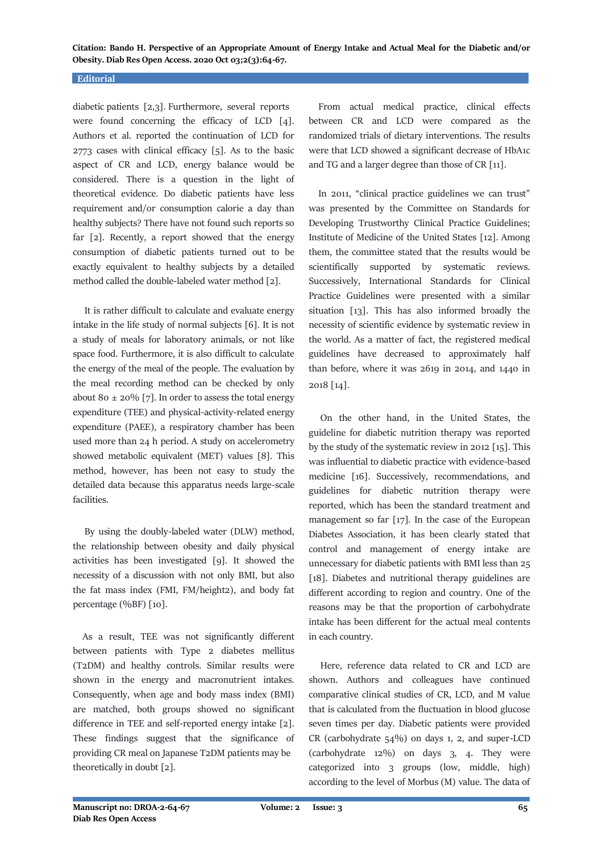**Citation: Bando H. Perspective of an Appropriate Amount of Energy Intake and Actual Meal for the Diabetic and/or Obesity. Diab Res Open Access. 2020 Oct 03;2(3):64-67.**

#### **Editorial**

diabetic patients [2,3]. Furthermore, several reports were found concerning the efficacy of LCD [4]. Authors et al. reported the continuation of LCD for 2773 cases with clinical efficacy [5]. As to the basic aspect of CR and LCD, energy balance would be considered. There is a question in the light of theoretical evidence. Do diabetic patients have less requirement and/or consumption calorie a day than healthy subjects? There have not found such reports so far [2]. Recently, a report showed that the energy consumption of diabetic patients turned out to be exactly equivalent to healthy subjects by a detailed method called the double-labeled water method [2].

 It is rather difficult to calculate and evaluate energy intake in the life study of normal subjects [6]. It is not a study of meals for laboratory animals, or not like space food. Furthermore, it is also difficult to calculate the energy of the meal of the people. The evaluation by the meal recording method can be checked by only about 80  $\pm$  20% [7]. In order to assess the total energy expenditure (TEE) and physical-activity-related energy expenditure (PAEE), a respiratory chamber has been used more than 24 h period. A study on accelerometry showed metabolic equivalent (MET) values [8]. This method, however, has been not easy to study the detailed data because this apparatus needs large-scale facilities.

 By using the doubly-labeled water (DLW) method, the relationship between obesity and daily physical activities has been investigated [9]. It showed the necessity of a discussion with not only BMI, but also the fat mass index (FMI, FM/height2), and body fat percentage (%BF) [10].

 As a result, TEE was not significantly different between patients with Type 2 diabetes mellitus (T2DM) and healthy controls. Similar results were shown in the energy and macronutrient intakes. Consequently, when age and body mass index (BMI) are matched, both groups showed no significant difference in TEE and self-reported energy intake [2]. These findings suggest that the significance of providing CR meal on Japanese T2DM patients may be theoretically in doubt [2].

 From actual medical practice, clinical effects between CR and LCD were compared as the randomized trials of dietary interventions. The results were that LCD showed a significant decrease of HbA1c and TG and a larger degree than those of CR [11].

 In 2011, "clinical practice guidelines we can trust" was presented by the Committee on Standards for Developing Trustworthy Clinical Practice Guidelines; Institute of Medicine of the United States [12]. Among them, the committee stated that the results would be scientifically supported by systematic reviews. Successively, International Standards for Clinical Practice Guidelines were presented with a similar situation [13]. This has also informed broadly the necessity of scientific evidence by systematic review in the world. As a matter of fact, the registered medical guidelines have decreased to approximately half than before, where it was 2619 in 2014, and 1440 in 2018 [14].

 On the other hand, in the United States, the guideline for diabetic nutrition therapy was reported by the study of the systematic review in 2012 [15]. This was influential to diabetic practice with evidence-based medicine [16]. Successively, recommendations, and guidelines for diabetic nutrition therapy were reported, which has been the standard treatment and management so far [17]. In the case of the European Diabetes Association, it has been clearly stated that control and management of energy intake are unnecessary for diabetic patients with BMI less than 25 [18]. Diabetes and nutritional therapy guidelines are different according to region and country. One of the reasons may be that the proportion of carbohydrate intake has been different for the actual meal contents in each country.

 Here, reference data related to CR and LCD are shown. Authors and colleagues have continued comparative clinical studies of CR, LCD, and M value that is calculated from the fluctuation in blood glucose seven times per day. Diabetic patients were provided CR (carbohydrate 54%) on days 1, 2, and super-LCD (carbohydrate 12%) on days 3, 4. They were categorized into 3 groups (low, middle, high) according to the level of Morbus (M) value. The data of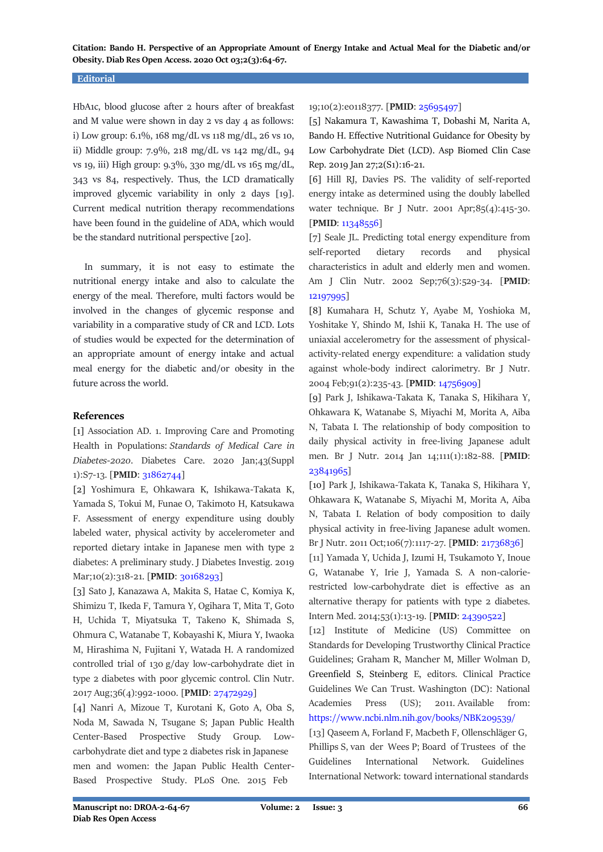**Citation: Bando H. Perspective of an Appropriate Amount of Energy Intake and Actual Meal for the Diabetic and/or Obesity. Diab Res Open Access. 2020 Oct 03;2(3):64-67.**

#### **Editorial**

HbA1c, blood glucose after 2 hours after of breakfast and M value were shown in day 2 vs day 4 as follows: i) Low group: 6.1%, 168 mg/dL vs 118 mg/dL, 26 vs 10, ii) Middle group: 7.9%, 218 mg/dL vs 142 mg/dL, 94 vs 19, iii) High group: 9.3%, 330 mg/dL vs 165 mg/dL, 343 vs 84, respectively. Thus, the LCD dramatically improved glycemic variability in only 2 days [19]. Current medical nutrition therapy recommendations have been found in the guideline of ADA, which would be the standard nutritional perspective [20].

 In summary, it is not easy to estimate the nutritional energy intake and also to calculate the energy of the meal. Therefore, multi factors would be involved in the changes of glycemic response and variability in a comparative study of CR and LCD. Lots of studies would be expected for the determination of an appropriate amount of energy intake and actual meal energy for the diabetic and/or obesity in the future across the world.

# **References**

[1] Association AD. 1. Improving Care and Promoting Health in Populations: *Standards of Medical Care in Diabetes*-*2020*. Diabetes Care. 2020 Jan;43(Suppl 1):S7-13. [**PMID**[: 31862744\]](https://pubmed.ncbi.nlm.nih.gov/31862744/)

[2] Yoshimura E, Ohkawara K, Ishikawa-Takata K, Yamada S, Tokui M, Funae O, Takimoto H, Katsukawa F. Assessment of energy expenditure using doubly labeled water, physical activity by accelerometer and reported dietary intake in Japanese men with type 2 diabetes: A preliminary study. J Diabetes Investig. 2019 Mar;10(2):318-21. [PMID[: 30168293\]](https://pubmed.ncbi.nlm.nih.gov/30168293/)

[3] Sato J, Kanazawa A, Makita S, Hatae C, Komiya K, Shimizu T, Ikeda F, Tamura Y, Ogihara T, Mita T, Goto H, Uchida T, Miyatsuka T, Takeno K, Shimada S, Ohmura C, Watanabe T, Kobayashi K, Miura Y, Iwaoka M, Hirashima N, Fujitani Y, Watada H. A randomized controlled trial of 130 g/day low-carbohydrate diet in type 2 diabetes with poor glycemic control. Clin Nutr. 2017 Aug;36(4):992-1000. [**PMID**: [27472929\]](https://pubmed.ncbi.nlm.nih.gov/27472929/)

[4] Nanri A, Mizoue T, Kurotani K, Goto A, Oba S, Noda M, Sawada N, Tsugane S; Japan Public Health Center-Based Prospective Study Group. Lowcarbohydrate diet and type 2 diabetes risk in Japanese men and women: the Japan Public Health Center-Based Prospective Study. PLoS One. 2015 Feb

# 19;10(2):e0118377. [**PMID**[: 25695497\]](https://pubmed.ncbi.nlm.nih.gov/25695497/)

[5] Nakamura T, Kawashima T, Dobashi M, Narita A, Bando H. Effective Nutritional Guidance for Obesity by Low Carbohydrate Diet (LCD). Asp Biomed Clin Case Rep. 2019 Jan 27;2(S1):16-21.

[6] Hill RJ, Davies PS. The validity of self-reported energy intake as determined using the doubly labelled water technique. Br J Nutr. 2001 Apr;85(4):415-30. [**PMID**[: 11348556\]](https://pubmed.ncbi.nlm.nih.gov/11348556/)

[7] Seale JL. Predicting total energy expenditure from self-reported dietary records and physical characteristics in adult and elderly men and women. Am J Clin Nutr. 2002 Sep;76(3):529-34. [**PMID**: [12197995\]](https://pubmed.ncbi.nlm.nih.gov/12197995/)

[8] Kumahara H, Schutz Y, Ayabe M, Yoshioka M, Yoshitake Y, Shindo M, Ishii K, Tanaka H. The use of uniaxial accelerometry for the assessment of physicalactivity-related energy expenditure: a validation study against whole-body indirect calorimetry. Br J Nutr. 2004 Feb;91(2):235-43. [**PMID**[: 14756909\]](https://pubmed.ncbi.nlm.nih.gov/14756909/)

[9] Park J, Ishikawa-Takata K, Tanaka S, Hikihara Y, Ohkawara K, Watanabe S, Miyachi M, Morita A, Aiba N, Tabata I. The relationship of body composition to daily physical activity in free-living Japanese adult men. Br J Nutr. 2014 Jan 14;111(1):182-88. [**PMID**: [23841965\]](https://pubmed.ncbi.nlm.nih.gov/23841965/)

[10] Park J, Ishikawa-Takata K, Tanaka S, Hikihara Y, Ohkawara K, Watanabe S, Miyachi M, Morita A, Aiba N, Tabata I. Relation of body composition to daily physical activity in free-living Japanese adult women. Br J Nutr. 2011 Oct;106(7):1117-27. [**PMID**: [21736836\]](https://pubmed.ncbi.nlm.nih.gov/21736836/)

[11] Yamada Y, Uchida J, Izumi H, Tsukamoto Y, Inoue G, Watanabe Y, Irie J, Yamada S. A non-calorierestricted low-carbohydrate diet is effective as an alternative therapy for patients with type 2 diabetes. Intern Med. 2014;53(1):13-19. [**PMID**: [24390522\]](https://pubmed.ncbi.nlm.nih.gov/24390522/)

[12] Institute of Medicine (US) Committee on Standards for Developing Trustworthy Clinical Practice Guidelines; Graham R, Mancher M, Miller Wolman D, Greenfield S, Steinberg E, editors. Clinical Practice Guidelines We Can Trust. Washington (DC): National Academies Press (US); 2011. Available from: <https://www.ncbi.nlm.nih.gov/books/NBK209539/>

[13] Qaseem A, Forland F, Macbeth F, Ollenschläger G, Phillips S, van der Wees P; Board of Trustees of the Guidelines International Network. Guidelines International Network: toward international standards